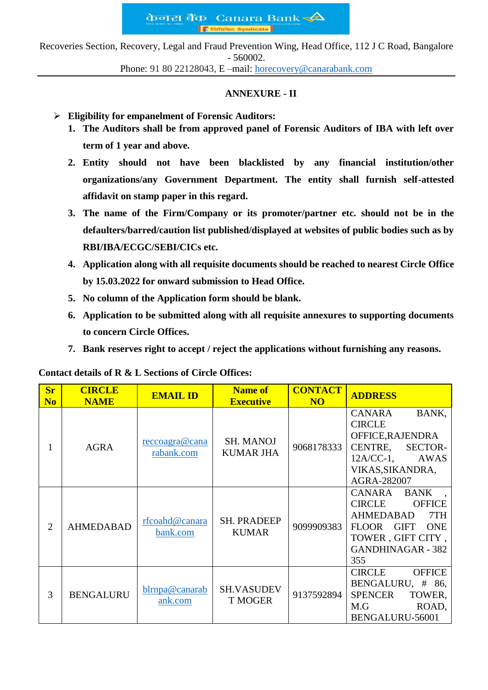केनरा बैंक Canara Bank ्या<br>पश्चिकेट Syndic **IF** 

Recoveries Section, Recovery, Legal and Fraud Prevention Wing, Head Office, 112 J C Road, Bangalore - 560002.

Phone: 91 80 22128043, E –mail: [horecovery@canarabank.com](mailto:horecovery@canarabank.com)

## **ANNEXURE - II**

- **Eligibility for empanelment of Forensic Auditors:**
	- **1. The Auditors shall be from approved panel of Forensic Auditors of IBA with left over term of 1 year and above.**
	- **2. Entity should not have been blacklisted by any financial institution/other organizations/any Government Department. The entity shall furnish self-attested affidavit on stamp paper in this regard.**
	- **3. The name of the Firm/Company or its promoter/partner etc. should not be in the defaulters/barred/caution list published/displayed at websites of public bodies such as by RBI/IBA/ECGC/SEBI/CICs etc.**
	- **4. Application along with all requisite documents should be reached to nearest Circle Office by 15.03.2022 for onward submission to Head Office.**
	- **5. No column of the Application form should be blank.**
	- **6. Application to be submitted along with all requisite annexures to supporting documents to concern Circle Offices.**
	- **7. Bank reserves right to accept / reject the applications without furnishing any reasons.**

**Contact details of R & L Sections of Circle Offices:**

| <b>Sr</b><br>N <sub>0</sub> | <b>CIRCLE</b><br><b>NAME</b> | <b>EMAIL ID</b>              | <b>Name of</b><br><b>Executive</b>   | <b>CONTACT</b><br>N <sub>O</sub> | <b>ADDRESS</b>                                                                                                                                                                          |
|-----------------------------|------------------------------|------------------------------|--------------------------------------|----------------------------------|-----------------------------------------------------------------------------------------------------------------------------------------------------------------------------------------|
| 1                           | <b>AGRA</b>                  | reccoagra@cana<br>rabank.com | <b>SH. MANOJ</b><br><b>KUMAR JHA</b> | 9068178333                       | BANK,<br><b>CANARA</b><br><b>CIRCLE</b><br>OFFICE, RAJENDRA<br>CENTRE,<br>SECTOR-<br>$12A/CC-1$ , AWAS<br>VIKAS, SIKANDRA,<br>AGRA-282007                                               |
| $\overline{2}$              | <b>AHMEDABAD</b>             | rfcoahd@canara<br>bank.com   | <b>SH. PRADEEP</b><br><b>KUMAR</b>   | 9099909383                       | CANARA<br><b>BANK</b><br><b>CIRCLE</b><br><b>OFFICE</b><br>7TH<br><b>AHMEDABAD</b><br><b>ONE</b><br><b>FLOOR</b><br><b>GIFT</b><br>TOWER, GIFT CITY,<br><b>GANDHINAGAR - 382</b><br>355 |
| 3                           | <b>BENGALURU</b>             | blrnpa@canarab<br>ank.com    | <b>SH.VASUDEV</b><br><b>T MOGER</b>  | 9137592894                       | <b>CIRCLE</b><br><b>OFFICE</b><br>BENGALURU, # 86,<br><b>SPENCER</b><br>TOWER,<br>M.G<br>ROAD,<br>BENGALURU-56001                                                                       |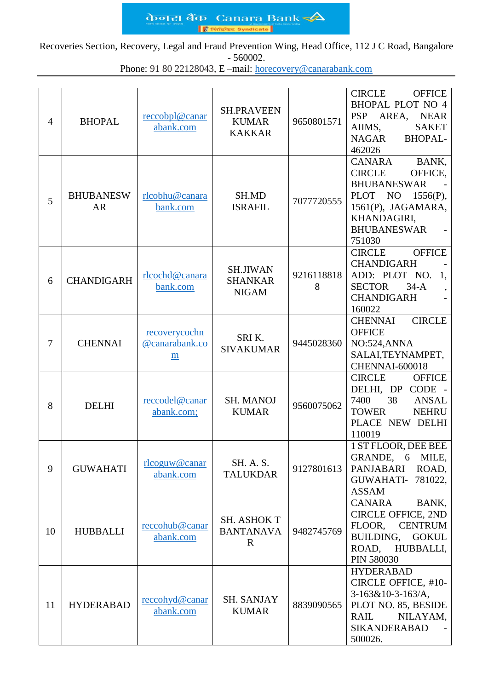केजरा बैंक Canara Bank ■  $\overline{\mathsf{base}}$  Syndicate

Recoveries Section, Recovery, Legal and Fraud Prevention Wing, Head Office, 112 J C Road, Bangalore - 560002.

Phone: 91 80 22128043, E –mail: [horecovery@canarabank.com](mailto:horecovery@canarabank.com)

| $\overline{4}$ | <b>BHOPAL</b>                 | reccobpl@canar<br>abank.com          | <b>SH.PRAVEEN</b><br><b>KUMAR</b><br><b>KAKKAR</b>    | 9650801571      | <b>CIRCLE</b><br><b>OFFICE</b><br><b>BHOPAL PLOT NO 4</b><br><b>PSP</b><br>AREA,<br><b>NEAR</b><br>AIIMS,<br><b>SAKET</b><br><b>NAGAR</b><br><b>BHOPAL-</b><br>462026                         |
|----------------|-------------------------------|--------------------------------------|-------------------------------------------------------|-----------------|-----------------------------------------------------------------------------------------------------------------------------------------------------------------------------------------------|
| 5              | <b>BHUBANESW</b><br><b>AR</b> | rlcobhu@canara<br>bank.com           | SH.MD<br><b>ISRAFIL</b>                               | 7077720555      | <b>CANARA</b><br>BANK,<br><b>CIRCLE</b><br>OFFICE,<br><b>BHUBANESWAR</b><br><b>PLOT</b><br>N <sub>O</sub><br>$1556(P)$ ,<br>1561(P), JAGAMARA,<br>KHANDAGIRI,<br><b>BHUBANESWAR</b><br>751030 |
| 6              | <b>CHANDIGARH</b>             | rlcochd@canara<br>bank.com           | <b>SH.JIWAN</b><br><b>SHANKAR</b><br><b>NIGAM</b>     | 9216118818<br>8 | <b>OFFICE</b><br><b>CIRCLE</b><br><b>CHANDIGARH</b><br>ADD: PLOT NO.<br>1,<br><b>SECTOR</b><br>$34-A$<br><b>CHANDIGARH</b><br>160022                                                          |
| $\overline{7}$ | <b>CHENNAI</b>                | recoverycochn<br>@canarabank.co<br>m | SRIK.<br><b>SIVAKUMAR</b>                             | 9445028360      | <b>CIRCLE</b><br><b>CHENNAI</b><br><b>OFFICE</b><br>NO:524, ANNA<br>SALAI, TEYNAMPET,<br>CHENNAI-600018                                                                                       |
| 8              | <b>DELHI</b>                  | reccodel@canar<br>abank.com;         | <b>SH. MANOJ</b><br><b>KUMAR</b>                      | 9560075062      | <b>CIRCLE</b><br><b>OFFICE</b><br>DELHI, DP CODE -<br><b>ANSAL</b><br>7400<br>38<br><b>TOWER</b><br><b>NEHRU</b><br>PLACE NEW DELHI<br>110019                                                 |
| 9              | <b>GUWAHATI</b>               | rlcoguw@canar<br>abank.com           | SH. A. S.<br><b>TALUKDAR</b>                          | 9127801613      | 1 ST FLOOR, DEE BEE<br>GRANDE, 6 MILE,<br>PANJABARI<br>ROAD,<br><b>GUWAHATI- 781022,</b><br><b>ASSAM</b>                                                                                      |
| 10             | <b>HUBBALLI</b>               | reccohub@canar<br>abank.com          | <b>SH. ASHOK T</b><br><b>BANTANAVA</b><br>$\mathbf R$ | 9482745769      | BANK,<br><b>CANARA</b><br><b>CIRCLE OFFICE, 2ND</b><br>FLOOR,<br><b>CENTRUM</b><br>BUILDING, GOKUL<br>ROAD, HUBBALLI,<br><b>PIN 580030</b>                                                    |
| 11             | <b>HYDERABAD</b>              | reccohyd@canar<br>abank.com          | <b>SH. SANJAY</b><br><b>KUMAR</b>                     | 8839090565      | <b>HYDERABAD</b><br>CIRCLE OFFICE, #10-<br>$3-163&10-3-163/A$ ,<br>PLOT NO. 85, BESIDE<br>RAIL<br>NILAYAM,<br><b>SIKANDERABAD</b><br>500026.                                                  |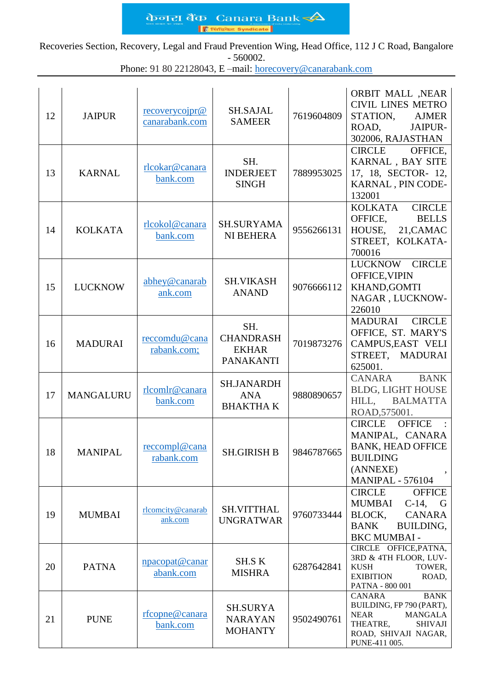केनरा बैंक Canara Bank  $\triangle$ In **Syndicate** 

Recoveries Section, Recovery, Legal and Fraud Prevention Wing, Head Office, 112 J C Road, Bangalore - 560002.

Phone: 91 80 22128043, E –mail: [horecovery@canarabank.com](mailto:horecovery@canarabank.com)

| 12 | <b>JAIPUR</b>    | recoverycoipr@<br>canarabank.com | <b>SH.SAJAL</b><br><b>SAMEER</b>                            | 7619604809 | <b>ORBIT MALL ,NEAR</b><br><b>CIVIL LINES METRO</b><br>STATION,<br><b>AJMER</b><br>ROAD,<br>JAIPUR-<br>302006, RAJASTHAN                                         |
|----|------------------|----------------------------------|-------------------------------------------------------------|------------|------------------------------------------------------------------------------------------------------------------------------------------------------------------|
| 13 | <b>KARNAL</b>    | rlcokar@canara<br>bank.com       | SH.<br><b>INDERJEET</b><br><b>SINGH</b>                     | 7889953025 | <b>CIRCLE</b><br>OFFICE,<br>KARNAL, BAY SITE<br>17, 18, SECTOR- 12,<br>KARNAL, PIN CODE-<br>132001                                                               |
| 14 | <b>KOLKATA</b>   | rlcokol@canara<br>bank.com       | <b>SH.SURYAMA</b><br><b>NI BEHERA</b>                       | 9556266131 | <b>KOLKATA</b><br><b>CIRCLE</b><br>OFFICE,<br><b>BELLS</b><br>HOUSE, 21, CAMAC<br>STREET, KOLKATA-<br>700016                                                     |
| 15 | <b>LUCKNOW</b>   | abhey@canarab<br>ank.com         | <b>SH.VIKASH</b><br><b>ANAND</b>                            | 9076666112 | LUCKNOW CIRCLE<br>OFFICE, VIPIN<br>KHAND, GOMTI<br>NAGAR, LUCKNOW-<br>226010                                                                                     |
| 16 | <b>MADURAI</b>   | reccomdu@cana<br>rabank.com;     | SH.<br><b>CHANDRASH</b><br><b>EKHAR</b><br><b>PANAKANTI</b> | 7019873276 | <b>CIRCLE</b><br>MADURAI<br>OFFICE, ST. MARY'S<br>CAMPUS, EAST VELI<br>STREET, MADURAI<br>625001.                                                                |
| 17 | <b>MANGALURU</b> | rlcomlr@canara<br>bank.com       | <b>SH.JANARDH</b><br><b>ANA</b><br><b>BHAKTHAK</b>          | 9880890657 | CANARA<br><b>BANK</b><br><b>BLDG, LIGHT HOUSE</b><br>HILL,<br><b>BALMATTA</b><br>ROAD, 575001.                                                                   |
| 18 | <b>MANIPAL</b>   | reccompl@cana<br>rabank.com      | SH.GIRISH B                                                 | 9846787665 | <b>CIRCLE</b><br><b>OFFICE</b><br>MANIPAL, CANARA<br><b>BANK, HEAD OFFICE</b><br><b>BUILDING</b><br>(ANNEXE)<br><b>MANIPAL - 576104</b>                          |
| 19 | <b>MUMBAI</b>    | rlcomcity@canarab<br>ank.com     | <b>SH.VITTHAL</b><br><b>UNGRATWAR</b>                       | 9760733444 | <b>CIRCLE</b><br><b>OFFICE</b><br>MUMBAI<br>$C-14$ ,<br>G<br>BLOCK,<br><b>CANARA</b><br>BUILDING,<br><b>BANK</b><br><b>BKC MUMBAI -</b>                          |
| 20 | <b>PATNA</b>     | npacopat@canar<br>abank.com      | SH.S K<br><b>MISHRA</b>                                     | 6287642841 | CIRCLE OFFICE, PATNA,<br>3RD & 4TH FLOOR, LUV-<br><b>KUSH</b><br>TOWER,<br><b>EXIBITION</b><br>ROAD,<br>PATNA - 800 001                                          |
| 21 | <b>PUNE</b>      | rfcopne@canara<br>bank.com       | <b>SH.SURYA</b><br><b>NARAYAN</b><br><b>MOHANTY</b>         | 9502490761 | <b>CANARA</b><br><b>BANK</b><br>BUILDING, FP 790 (PART),<br><b>MANGALA</b><br><b>NEAR</b><br>THEATRE,<br><b>SHIVAJI</b><br>ROAD, SHIVAJI NAGAR,<br>PUNE-411 005. |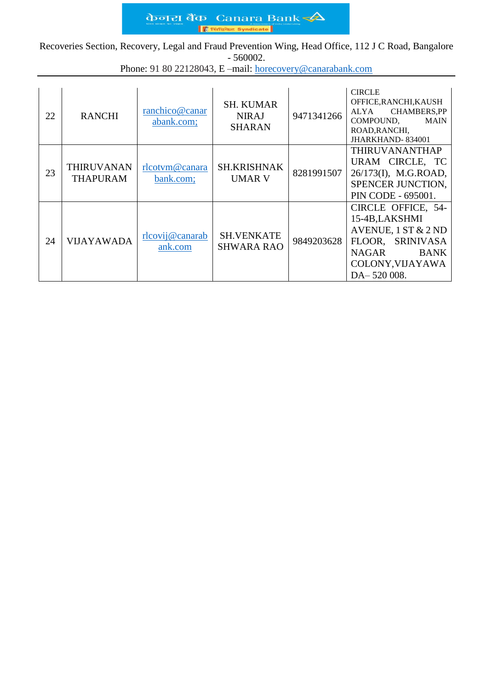केजरा बैंक Canara Bank ■  $\overline{\mathsf{base}}$  Syndicate

Recoveries Section, Recovery, Legal and Fraud Prevention Wing, Head Office, 112 J C Road, Bangalore - 560002.

Phone: 91 80 22128043, E –mail: [horecovery@canarabank.com](mailto:horecovery@canarabank.com)

| 22 | <b>RANCHI</b>                        | ranchico@canar<br>abank.com; | <b>SH. KUMAR</b><br><b>NIRAJ</b><br><b>SHARAN</b> | 9471341266 | <b>CIRCLE</b><br>OFFICE, RANCHI, KAUSH<br><b>CHAMBERS,PP</b><br>ALYA<br>COMPOUND,<br>MAIN<br>ROAD, RANCHI,<br>JHARKHAND-834001               |
|----|--------------------------------------|------------------------------|---------------------------------------------------|------------|----------------------------------------------------------------------------------------------------------------------------------------------|
| 23 | <b>THIRUVANAN</b><br><b>THAPURAM</b> | rlcotym@canara<br>bank.com;  | <b>SH.KRISHNAK</b><br><b>UMAR V</b>               | 8281991507 | <b>THIRUVANANTHAP</b><br>URAM CIRCLE, TC<br>26/173(I), M.G.ROAD,<br>SPENCER JUNCTION,<br>PIN CODE - 695001.                                  |
| 24 | <b>VIJAYAWADA</b>                    | rlcovij@canarab<br>ank.com   | <b>SH.VENKATE</b><br><b>SHWARA RAO</b>            | 9849203628 | CIRCLE OFFICE, 54-<br>15-4B, LAKSHMI<br>AVENUE, $1 ST & 2 ND$<br>FLOOR, SRINIVASA<br>NAGAR<br><b>BANK</b><br>COLONY, VIJAYAWA<br>DA-520 008. |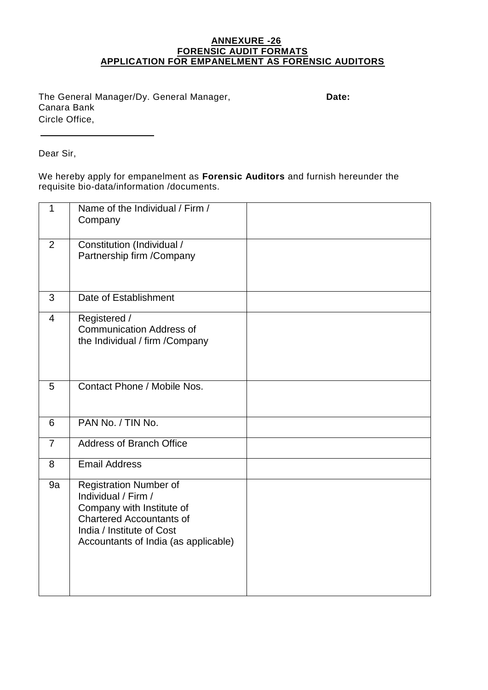## **ANNEXURE -26 FORENSIC AUDIT FORMATS APPLICATION FOR EMPANELMENT AS FORENSIC AUDITORS**

The General Manager/Dy. General Manager, **Date:**  Canara Bank Circle Office,

Dear Sir,

We hereby apply for empanelment as **Forensic Auditors** and furnish hereunder the requisite bio-data/information /documents.

| 1              | Name of the Individual / Firm /<br>Company                                                                                                                                                |  |
|----------------|-------------------------------------------------------------------------------------------------------------------------------------------------------------------------------------------|--|
| $\overline{2}$ | Constitution (Individual /<br>Partnership firm / Company                                                                                                                                  |  |
| 3              | Date of Establishment                                                                                                                                                                     |  |
| $\overline{4}$ | Registered /<br><b>Communication Address of</b><br>the Individual / firm / Company                                                                                                        |  |
| 5              | Contact Phone / Mobile Nos.                                                                                                                                                               |  |
| 6              | PAN No. / TIN No.                                                                                                                                                                         |  |
| $\overline{7}$ | <b>Address of Branch Office</b>                                                                                                                                                           |  |
| 8              | <b>Email Address</b>                                                                                                                                                                      |  |
| 9a             | <b>Registration Number of</b><br>Individual / Firm /<br>Company with Institute of<br><b>Chartered Accountants of</b><br>India / Institute of Cost<br>Accountants of India (as applicable) |  |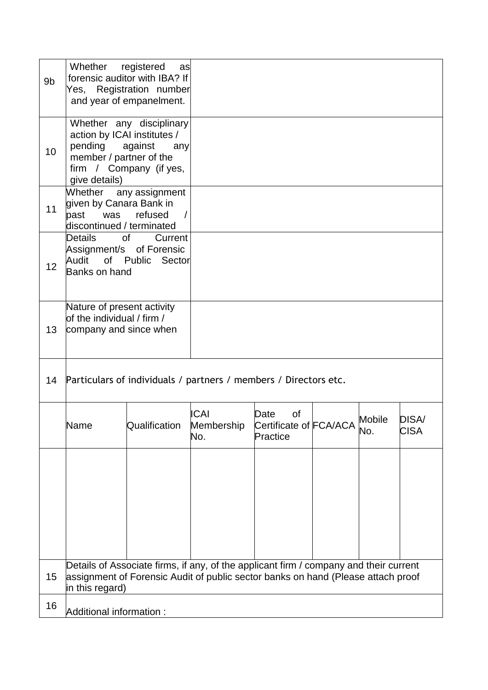| 9 <sub>b</sub> | Whether registered<br>as<br>forensic auditor with IBA? If<br>Registration number<br>Yes,<br>and year of empanelment.                                                                                                          |               |                                  |                                                                                |  |  |                      |
|----------------|-------------------------------------------------------------------------------------------------------------------------------------------------------------------------------------------------------------------------------|---------------|----------------------------------|--------------------------------------------------------------------------------|--|--|----------------------|
| 10             | Whether any disciplinary<br>action by ICAI institutes /<br>pending against<br>any<br>member / partner of the<br>firm / Company (if yes,<br>give details)                                                                      |               |                                  |                                                                                |  |  |                      |
| 11<br>12       | Whether any assignment<br>given by Canara Bank in<br>was refused<br>past<br>$\sqrt{ }$<br>discontinued / terminated<br>of<br>Details<br>Current<br>Assignment/s of Forensic<br>Audit of Public Sector<br><b>Banks on hand</b> |               |                                  |                                                                                |  |  |                      |
| 13             | Nature of present activity<br>of the individual / firm /<br>company and since when                                                                                                                                            |               |                                  |                                                                                |  |  |                      |
| 14             | Particulars of individuals / partners / members / Directors etc.                                                                                                                                                              |               |                                  |                                                                                |  |  |                      |
|                | Name                                                                                                                                                                                                                          | Qualification | <b>ICAI</b><br>Membership<br>No. | of<br>Date<br>Date of<br>Certificate of FCA/ACA Mobile<br>Prestice<br>Practice |  |  | DISA/<br><b>CISA</b> |
|                |                                                                                                                                                                                                                               |               |                                  |                                                                                |  |  |                      |
| 15             | Details of Associate firms, if any, of the applicant firm / company and their current<br>assignment of Forensic Audit of public sector banks on hand (Please attach proof<br>in this regard)                                  |               |                                  |                                                                                |  |  |                      |
| 16             | Additional information :                                                                                                                                                                                                      |               |                                  |                                                                                |  |  |                      |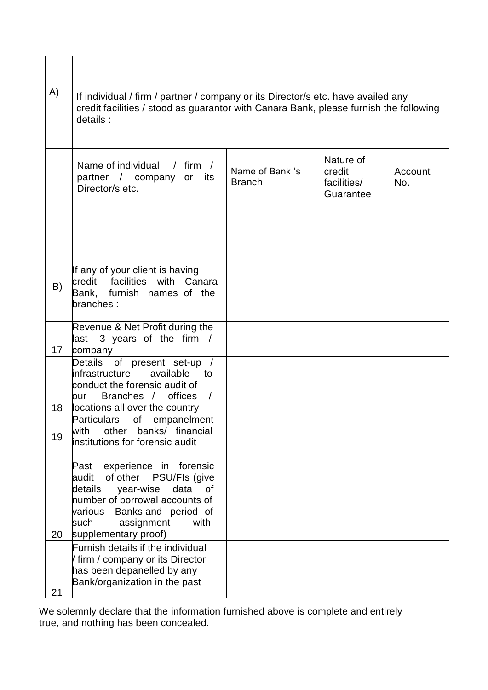| A) | If individual / firm / partner / company or its Director/s etc. have availed any<br>credit facilities / stood as guarantor with Canara Bank, please furnish the following<br>details:                                          |                                  |                                                 |                |
|----|--------------------------------------------------------------------------------------------------------------------------------------------------------------------------------------------------------------------------------|----------------------------------|-------------------------------------------------|----------------|
|    | Name of individual<br>$/$ firm $/$<br>partner / company or<br>its<br>Director/s etc.                                                                                                                                           | Name of Bank 's<br><b>Branch</b> | Nature of<br>credit<br>facilities/<br>Guarantee | Account<br>No. |
|    |                                                                                                                                                                                                                                |                                  |                                                 |                |
| B) | If any of your client is having<br>credit facilities with Canara<br>Bank, furnish names of the<br>branches:                                                                                                                    |                                  |                                                 |                |
| 17 | Revenue & Net Profit during the<br>3 years of the firm /<br>last<br>company                                                                                                                                                    |                                  |                                                 |                |
| 18 | Details of present set-up /<br>infrastructure<br>available<br>to<br>conduct the forensic audit of<br>Branches / offices<br>$\sqrt{ }$<br>our<br>locations all over the country                                                 |                                  |                                                 |                |
| 19 | of<br>Particulars<br>empanelment<br>with<br>other<br>banks/ financial<br>institutions for forensic audit                                                                                                                       |                                  |                                                 |                |
| 20 | experience in forensic<br>Past<br>of other<br>PSU/Fls (give<br>audit<br>details<br>year-wise<br>data of<br>number of borrowal accounts of<br>various Banks and period of<br>such<br>assignment<br>with<br>supplementary proof) |                                  |                                                 |                |
| 21 | Furnish details if the individual<br>firm / company or its Director<br>has been depanelled by any<br>Bank/organization in the past                                                                                             |                                  |                                                 |                |

We solemnly declare that the information furnished above is complete and entirely true, and nothing has been concealed.